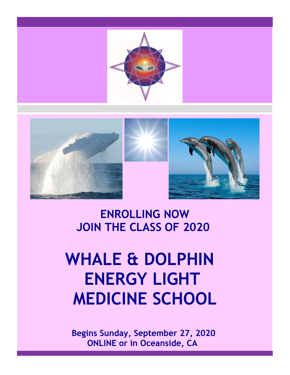





**ENROLLING NOW JOIN THE CLASS OF 2020**

# **WHALE & DOLPHIN ENERGY LIGHT MEDICINE SCHOOL**

 **Begins Sunday, September 27, 2020 ONLINE or in Oceanside, CA**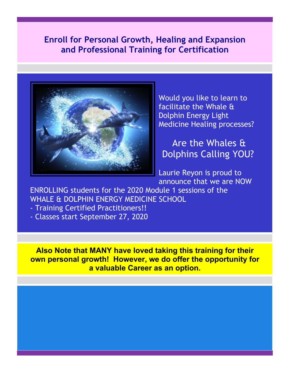### **Enroll for Personal Growth, Healing and Expansion and Professional Training for Certification**



Would you like to learn to facilitate the Whale & Dolphin Energy Light Medicine Healing processes?

Are the Whales & Dolphins Calling YOU?

Laurie Reyon is proud to announce that we are NOW

ENROLLING students for the 2020 Module 1 sessions of the WHALE & DOLPHIN ENERGY MEDICINE SCHOOL

- Training Certified Practitioners!!

- Classes start September 27, 2020

**Also Note that MANY have loved taking this training for their own personal growth! However, we do offer the opportunity for a valuable Career as an option.**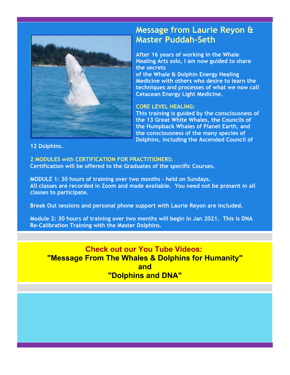

### **Message from Laurie Reyon & Master Puddah-Seth**

**After 16 years of working in the Whale Healing Arts solo, I am now guided to share the secrets**

**of the Whale & Dolphin Energy Healing Medicine with others who desire to learn the techniques and processes of what we now call Cetacean Energy Light Medicine.** 

#### **CORE LEVEL HEALING:**

**This training is guided by the consciousness of the 13 Great White Whales, the Councils of the Humpback Whales of Planet Earth, and the consciousness of the many species of Dolphins, including the Ascended Council of** 

**12 Dolphins.**

**2 MODULES with CERTIFICATION FOR PRACTITIONERS: Certification will be offered to the Graduates of the specific Courses.** 

**MODULE 1: 30 hours of training over two months - held on Sundays. All classes are recorded in Zoom and made available. You need not be present in all classes to participate.**

**Break Out sessions and personal phone support with Laurie Reyon are included.**

**Module 2: 30 hours of training over two months will begin in Jan 2021. This is DNA Re-Calibration Training with the Master Dolphins.**

#### **Check out our You Tube Videos: "Message From The Whales & Dolphins for Humanity" and "Dolphins and DNA"**